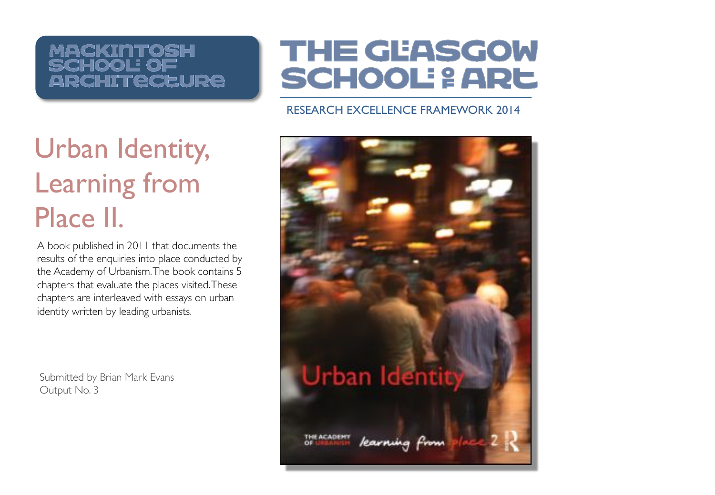#### **MACKINTOSH** CHOOL OF **ARCHITECEURE**

## **THE GEASGOW SCHOOL: & ARE**

#### RESEARCH EXCELLENCE FRAMEWORK 2014

# Urban Identity, Learning from Place II.

A book published in 2011 that documents the results of the enquiries into place conducted by the Academy of Urbanism. The book contains 5 chapters that evaluate the places visited. These chapters are interleaved with essays on urban identity written by leading urbanists.

Submitted by Brian Mark Evans Output No. 3

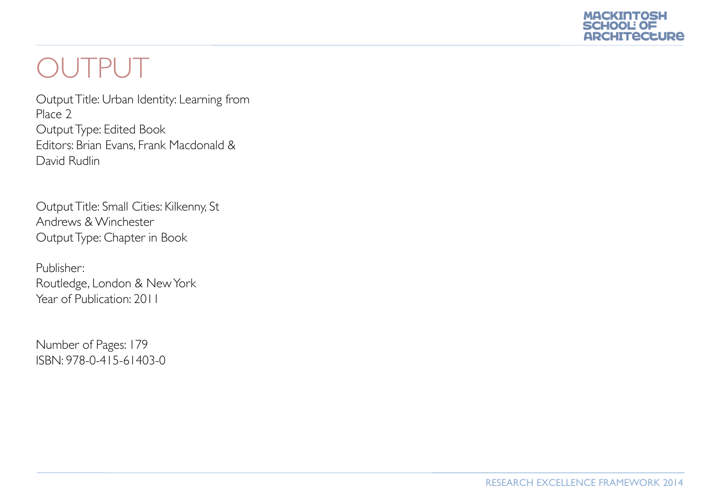

## OUTPUT

Output Title: Urban Identity: Learning from Place 2 Output Type: Edited Book Editors: Brian Evans, Frank Macdonald & David Rudlin

Output Title: Small Cities: Kilkenny, St Andrews & Winchester Output Type: Chapter in Book

Publisher: Routledge, London & New York Year of Publication: 2011

Number of Pages: 179 ISBN: 978-0-415-61403-0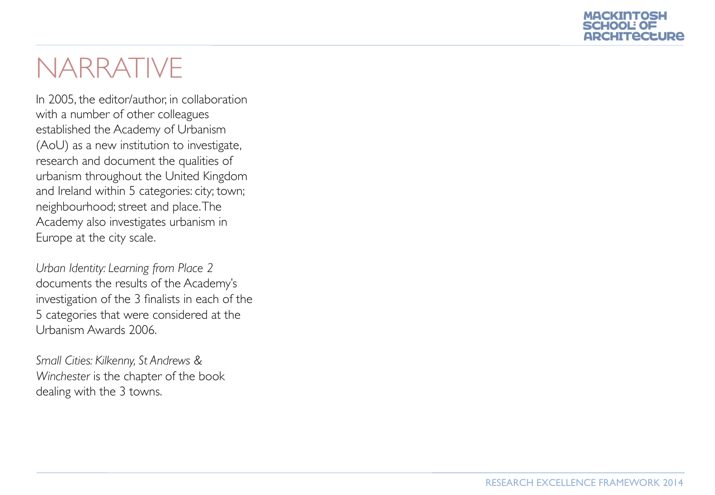

#### NARRATIVE

In 2005, the editor/author, in collaboration with a number of other colleagues established the Academy of Urbanism (AoU) as a new institution to investigate, research and document the qualities of urbanism throughout the United Kingdom and Ireland within 5 categories: city; town; neighbourhood; street and place. The Academy also investigates urbanism in Europe at the city scale.

*Urban Identity: Learning from Place 2*  documents the results of the Academy's investigation of the 3 finalists in each of the 5 categories that were considered at the Urbanism Awards 2006.

*Small Cities: Kilkenny, St Andrews & Winchester* is the chapter of the book dealing with the 3 towns.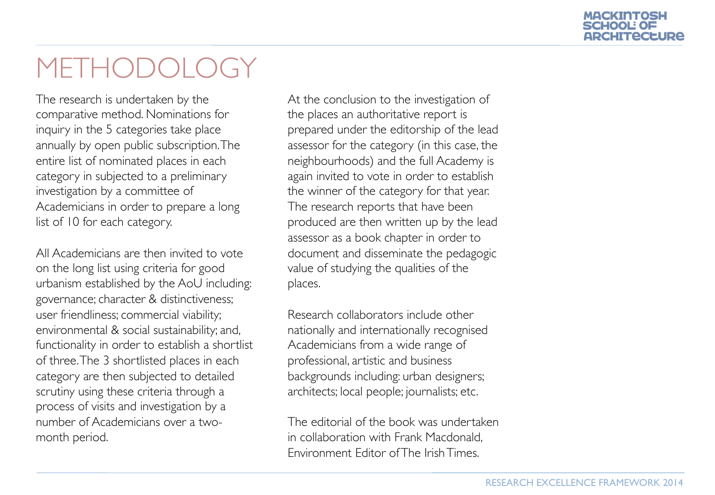# ARCHITECLURE

## METHODOLOG

The research is undertaken by the comparative method. Nominations for inquiry in the 5 categories take place annually by open public subscription. The entire list of nominated places in each category in subjected to a preliminary investigation by a committee of Academicians in order to prepare a long list of 10 for each category.

All Academicians are then invited to vote on the long list using criteria for good urbanism established by the AoU including: governance; character & distinctiveness; user friendliness; commercial viability; environmental & social sustainability; and, functionality in order to establish a shortlist of three. The 3 shortlisted places in each category are then subjected to detailed scrutiny using these criteria through a process of visits and investigation by a number of Academicians over a twomonth period.

At the conclusion to the investigation of the places an authoritative report is prepared under the editorship of the lead assessor for the category (in this case, the neighbourhoods) and the full Academy is again invited to vote in order to establish the winner of the category for that year. The research reports that have been produced are then written up by the lead assessor as a book chapter in order to document and disseminate the pedagogic value of studying the qualities of the places.

Research collaborators include other nationally and internationally recognised Academicians from a wide range of professional, artistic and business backgrounds including: urban designers; architects; local people; journalists; etc.

The editorial of the book was undertaken in collaboration with Frank Macdonald, Environment Editor of The Irish Times.